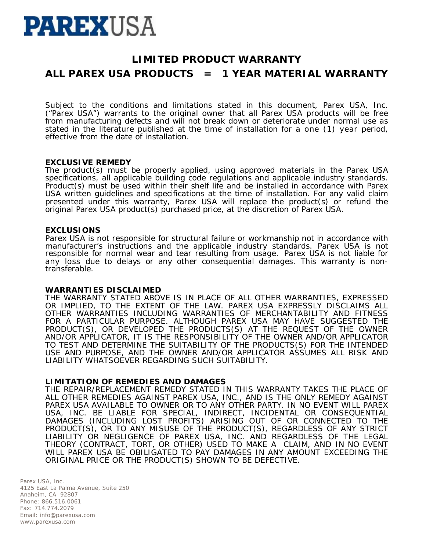# **PAREXUSA**

## **LIMITED PRODUCT WARRANTY ALL PAREX USA PRODUCTS = 1 YEAR MATERIAL WARRANTY**

Subject to the conditions and limitations stated in this document, Parex USA, Inc. ("Parex USA") warrants to the original owner that all Parex USA products will be free from manufacturing defects and will not break down or deteriorate under normal use as stated in the literature published at the time of installation for a one (1) year period, effective from the date of installation.

#### **EXCLUSIVE REMEDY**

The product(s) must be properly applied, using approved materials in the Parex USA specifications, all applicable building code regulations and applicable industry standards. Product(s) must be used within their shelf life and be installed in accordance with Parex USA written guidelines and specifications at the time of installation. For any valid claim presented under this warranty, Parex USA will replace the product(s) or refund the original Parex USA product(s) purchased price, at the discretion of Parex USA.

### **EXCLUSIONS**

Parex USA is not responsible for structural failure or workmanship not in accordance with manufacturer's instructions and the applicable industry standards. Parex USA is not responsible for normal wear and tear resulting from usage. Parex USA is not liable for any loss due to delays or any other consequential damages. This warranty is nontransferable.

#### **WARRANTIES DISCLAIMED**

THE WARRANTY STATED ABOVE IS IN PLACE OF ALL OTHER WARRANTIES, EXPRESSED OR IMPLIED, TO THE EXTENT OF THE LAW. PAREX USA EXPRESSLY DISCLAIMS ALL OTHER WARRANTIES INCLUDING WARRANTIES OF MERCHANTABILITY AND FITNESS FOR A PARTICULAR PURPOSE. ALTHOUGH PAREX USA MAY HAVE SUGGESTED THE PRODUCT(S), OR DEVELOPED THE PRODUCTS(S) AT THE REQUEST OF THE OWNER AND/OR APPLICATOR, IT IS THE RESPONSIBILITY OF THE OWNER AND/OR APPLICATOR TO TEST AND DETERMINE THE SUITABILITY OF THE PRODUCTS(S) FOR THE INTENDED USE AND PURPOSE, AND THE OWNER AND/OR APPLICATOR ASSUMES ALL RISK AND LIABILITY WHATSOEVER REGARDING SUCH SUITABILITY.

### **LIMITATION OF REMEDIES AND DAMAGES**

THE REPAIR/REPLACEMENT REMEDY STATED IN THIS WARRANTY TAKES THE PLACE OF ALL OTHER REMEDIES AGAINST PAREX USA, INC., AND IS THE ONLY REMEDY AGAINST PAREX USA AVAILABLE TO OWNER OR TO ANY OTHER PARTY. IN NO EVENT WILL PAREX USA, INC. BE LIABLE FOR SPECIAL, INDIRECT, INCIDENTAL OR CONSEQUENTIAL DAMAGES (INCLUDING LOST PROFITS) ARISING OUT OF OR CONNECTED TO THE PRODUCT(S), OR TO ANY MISUSE OF THE PRODUCT(S), REGARDLESS OF ANY STRICT LIABILITY OR NEGLIGENCE OF PAREX USA, INC. AND REGARDLESS OF THE LEGAL THEORY (CONTRACT, TORT, OR OTHER) USED TO MAKE A CLAIM, AND IN NO EVENT WILL PAREX USA BE OBILIGATED TO PAY DAMAGES IN ANY AMOUNT EXCEEDING THE ORIGINAL PRICE OR THE PRODUCT(S) SHOWN TO BE DEFECTIVE.

Parex USA, Inc. 4125 East La Palma Avenue, Suite 250 Anaheim, CA 92807 Phone: 866.516.0061 Fax: 714.774.2079 Email: info@parexusa.com www.parexusa.com